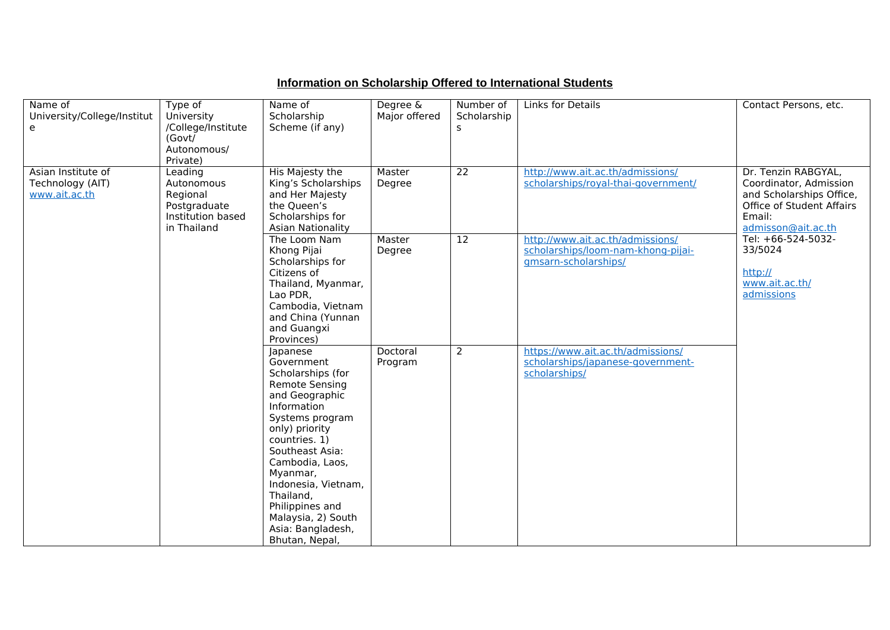## **Information on Scholarship Offered to International Students**

| Name of<br>University/College/Institut<br>e             | Type of<br>University<br>/College/Institute<br>(Govt/<br>Autonomous/<br>Private)      | Name of<br>Scholarship<br>Scheme (if any)                                                                                                                                                                                                                                                                                         | Degree &<br>Major offered | Number of<br>Scholarship<br>S | Links for Details                                                                              | Contact Persons, etc.                                                                                                                                                                                              |
|---------------------------------------------------------|---------------------------------------------------------------------------------------|-----------------------------------------------------------------------------------------------------------------------------------------------------------------------------------------------------------------------------------------------------------------------------------------------------------------------------------|---------------------------|-------------------------------|------------------------------------------------------------------------------------------------|--------------------------------------------------------------------------------------------------------------------------------------------------------------------------------------------------------------------|
| Asian Institute of<br>Technology (AIT)<br>www.ait.ac.th | Leading<br>Autonomous<br>Regional<br>Postgraduate<br>Institution based<br>in Thailand | His Majesty the<br>King's Scholarships<br>and Her Majesty<br>the Queen's<br>Scholarships for<br><b>Asian Nationality</b>                                                                                                                                                                                                          | Master<br>Degree          | $\overline{22}$               | http://www.ait.ac.th/admissions/<br>scholarships/royal-thai-government/                        | Dr. Tenzin RABGYAL,<br>Coordinator, Admission<br>and Scholarships Office,<br>Office of Student Affairs<br>Email:<br>admisson@ait.ac.th<br>Tel: +66-524-5032-<br>33/5024<br>http://<br>www.ait.ac.th/<br>admissions |
|                                                         |                                                                                       | The Loom Nam<br>Khong Pijai<br>Scholarships for<br>Citizens of<br>Thailand, Myanmar,<br>Lao PDR,<br>Cambodia, Vietnam<br>and China (Yunnan<br>and Guangxi<br>Provinces)                                                                                                                                                           | Master<br>Degree          | $\overline{12}$               | http://www.ait.ac.th/admissions/<br>scholarships/loom-nam-khong-pijai-<br>gmsarn-scholarships/ |                                                                                                                                                                                                                    |
|                                                         |                                                                                       | Japanese<br>Government<br>Scholarships (for<br><b>Remote Sensing</b><br>and Geographic<br>Information<br>Systems program<br>only) priority<br>countries. 1)<br>Southeast Asia:<br>Cambodia, Laos,<br>Myanmar,<br>Indonesia, Vietnam,<br>Thailand,<br>Philippines and<br>Malaysia, 2) South<br>Asia: Bangladesh,<br>Bhutan, Nepal, | Doctoral<br>Program       | $\overline{2}$                | https://www.ait.ac.th/admissions/<br>scholarships/japanese-government-<br>scholarships/        |                                                                                                                                                                                                                    |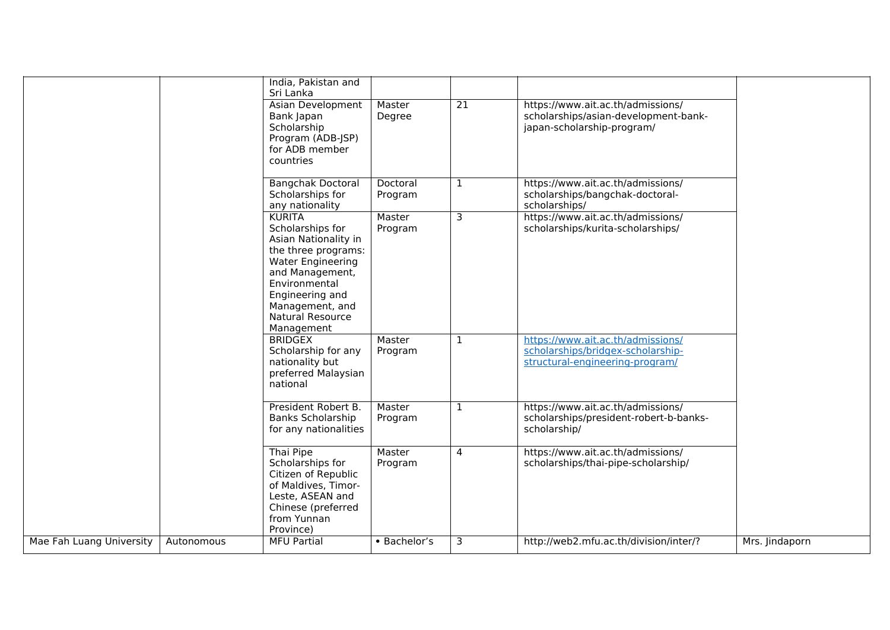|                          |            | India, Pakistan and<br>Sri Lanka                                                                                                                                                                                  |                     |                 |                                                                                                           |                |
|--------------------------|------------|-------------------------------------------------------------------------------------------------------------------------------------------------------------------------------------------------------------------|---------------------|-----------------|-----------------------------------------------------------------------------------------------------------|----------------|
|                          |            | Asian Development<br>Bank Japan<br>Scholarship<br>Program (ADB-JSP)<br>for ADB member<br>countries                                                                                                                | Master<br>Degree    | $\overline{21}$ | https://www.ait.ac.th/admissions/<br>scholarships/asian-development-bank-<br>japan-scholarship-program/   |                |
|                          |            | <b>Bangchak Doctoral</b><br>Scholarships for<br>any nationality                                                                                                                                                   | Doctoral<br>Program | $\mathbf{1}$    | https://www.ait.ac.th/admissions/<br>scholarships/bangchak-doctoral-<br>scholarships/                     |                |
|                          |            | <b>KURITA</b><br>Scholarships for<br>Asian Nationality in<br>the three programs:<br>Water Engineering<br>and Management,<br>Environmental<br>Engineering and<br>Management, and<br>Natural Resource<br>Management | Master<br>Program   | $\overline{3}$  | https://www.ait.ac.th/admissions/<br>scholarships/kurita-scholarships/                                    |                |
|                          |            | <b>BRIDGEX</b><br>Scholarship for any<br>nationality but<br>preferred Malaysian<br>national                                                                                                                       | Master<br>Program   | $\mathbf{1}$    | https://www.ait.ac.th/admissions/<br>scholarships/bridgex-scholarship-<br>structural-engineering-program/ |                |
|                          |            | President Robert B.<br><b>Banks Scholarship</b><br>for any nationalities                                                                                                                                          | Master<br>Program   | $\mathbf{1}$    | https://www.ait.ac.th/admissions/<br>scholarships/president-robert-b-banks-<br>scholarship/               |                |
|                          |            | Thai Pipe<br>Scholarships for<br>Citizen of Republic<br>of Maldives, Timor-<br>Leste, ASEAN and<br>Chinese (preferred<br>from Yunnan<br>Province)                                                                 | Master<br>Program   | 4               | https://www.ait.ac.th/admissions/<br>scholarships/thai-pipe-scholarship/                                  |                |
| Mae Fah Luang University | Autonomous | <b>MFU Partial</b>                                                                                                                                                                                                | • Bachelor's        | 3               | http://web2.mfu.ac.th/division/inter/?                                                                    | Mrs. Jindaporn |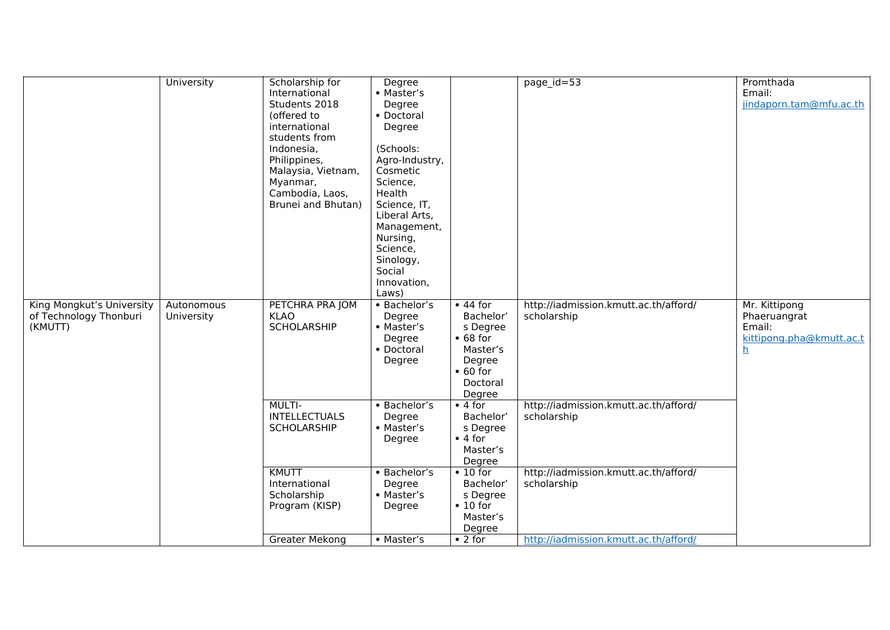|                                                                | University               | Scholarship for<br>International<br>Students 2018<br>(offered to<br>international<br>students from<br>Indonesia,<br>Philippines,<br>Malaysia, Vietnam,<br>Myanmar,<br>Cambodia, Laos,<br>Brunei and Bhutan) | Degree<br>• Master's<br>Degree<br>• Doctoral<br>Degree<br>(Schools:<br>Agro-Industry,<br>Cosmetic<br>Science,<br>Health<br>Science, IT,<br>Liberal Arts,<br>Management,<br>Nursing,<br>Science,<br>Sinology,<br>Social<br>Innovation,<br>Laws) |                                                                                                                                                                   | page_id=53                                                                                                   | Promthada<br>Email:<br>jindaporn.tam@mfu.ac.th                                  |
|----------------------------------------------------------------|--------------------------|-------------------------------------------------------------------------------------------------------------------------------------------------------------------------------------------------------------|------------------------------------------------------------------------------------------------------------------------------------------------------------------------------------------------------------------------------------------------|-------------------------------------------------------------------------------------------------------------------------------------------------------------------|--------------------------------------------------------------------------------------------------------------|---------------------------------------------------------------------------------|
| King Mongkut's University<br>of Technology Thonburi<br>(KMUTT) | Autonomous<br>University | PETCHRA PRA JOM<br><b>KLAO</b><br>SCHOLARSHIP<br><b>MULTI-</b><br><b>INTELLECTUALS</b><br>SCHOLARSHIP                                                                                                       | • Bachelor's<br>Degree<br>• Master's<br>Degree<br>• Doctoral<br>Degree<br>• Bachelor's<br>Degree<br>• Master's                                                                                                                                 | $\bullet$ 44 for<br>Bachelor'<br>s Degree<br>• 68 for<br>Master's<br>Degree<br>$\bullet$ 60 for<br>Doctoral<br>Degree<br>$\bullet$ 4 for<br>Bachelor'<br>s Degree | http://iadmission.kmutt.ac.th/afford/<br>scholarship<br>http://iadmission.kmutt.ac.th/afford/<br>scholarship | Mr. Kittipong<br>Phaeruangrat<br>Email:<br>kittipong.pha@kmutt.ac.t<br><u>h</u> |
|                                                                |                          | <b>KMUTT</b><br>International<br>Scholarship<br>Program (KISP)                                                                                                                                              | Degree<br>• Bachelor's<br>Degree<br>• Master's<br>Degree                                                                                                                                                                                       | $\bullet$ 4 for<br>Master's<br>Degree<br>$\overline{\bullet}$ 10 for<br>Bachelor'<br>s Degree<br>$\bullet$ 10 for<br>Master's<br>Degree                           | http://iadmission.kmutt.ac.th/afford/<br>scholarship                                                         |                                                                                 |
|                                                                |                          | <b>Greater Mekong</b>                                                                                                                                                                                       | • Master's                                                                                                                                                                                                                                     | $\bullet$ 2 for                                                                                                                                                   | http://iadmission.kmutt.ac.th/afford/                                                                        |                                                                                 |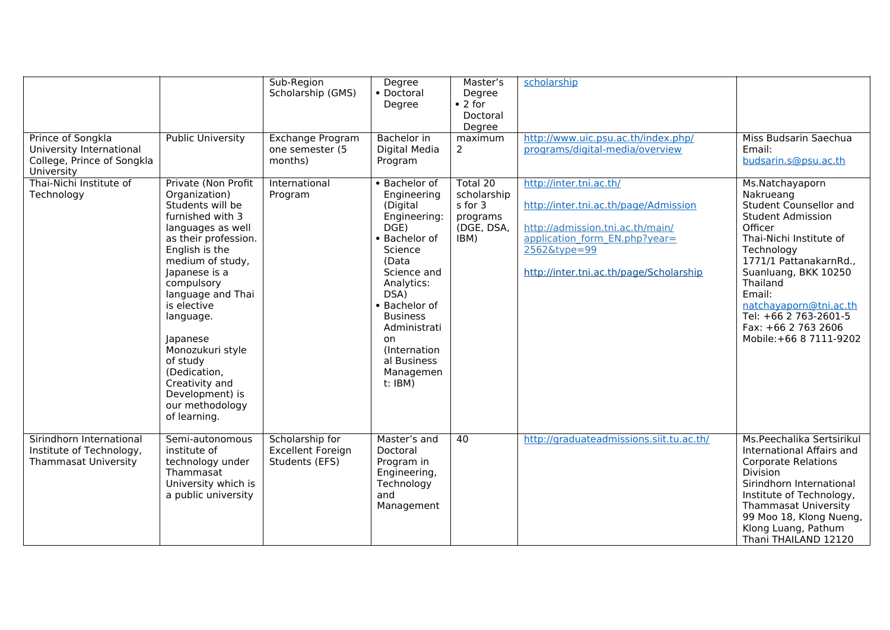|                                                                                           |                                                                                                                                                                                                                                                                                                                                                                                     | Sub-Region<br>Scholarship (GMS)                               | Degree<br>• Doctoral<br>Degree                                                                                                                                                                                                                                | Master's<br>Degree<br>$\bullet$ 2 for<br>Doctoral<br>Degree          | scholarship                                                                                                                                                                                      |                                                                                                                                                                                                                                                                                                                     |
|-------------------------------------------------------------------------------------------|-------------------------------------------------------------------------------------------------------------------------------------------------------------------------------------------------------------------------------------------------------------------------------------------------------------------------------------------------------------------------------------|---------------------------------------------------------------|---------------------------------------------------------------------------------------------------------------------------------------------------------------------------------------------------------------------------------------------------------------|----------------------------------------------------------------------|--------------------------------------------------------------------------------------------------------------------------------------------------------------------------------------------------|---------------------------------------------------------------------------------------------------------------------------------------------------------------------------------------------------------------------------------------------------------------------------------------------------------------------|
| Prince of Songkla<br>University International<br>College, Prince of Songkla<br>University | <b>Public University</b>                                                                                                                                                                                                                                                                                                                                                            | <b>Exchange Program</b><br>one semester (5<br>months)         | <b>Bachelor</b> in<br>Digital Media<br>Program                                                                                                                                                                                                                | maximum<br>$\overline{2}$                                            | http://www.uic.psu.ac.th/index.php/<br>programs/digital-media/overview                                                                                                                           | Miss Budsarin Saechua<br>Email:<br>budsarin.s@psu.ac.th                                                                                                                                                                                                                                                             |
| Thai-Nichi Institute of<br>Technology                                                     | Private (Non Profit<br>Organization)<br>Students will be<br>furnished with 3<br>languages as well<br>as their profession.<br>English is the<br>medium of study,<br>Japanese is a<br>compulsory<br>language and Thai<br>is elective<br>language.<br>Japanese<br>Monozukuri style<br>of study<br>(Dedication,<br>Creativity and<br>Development) is<br>our methodology<br>of learning. | International<br>Program                                      | • Bachelor of<br>Engineering<br>(Digital<br>Engineering:<br>DGE<br>• Bachelor of<br>Science<br>(Data<br>Science and<br>Analytics:<br>DSA)<br>• Bachelor of<br><b>Business</b><br>Administrati<br>on<br>(Internation<br>al Business<br>Managemen<br>$t$ : IBM) | Total 20<br>scholarship<br>s for 3<br>programs<br>(DGE, DSA,<br>IBM) | http://inter.tni.ac.th/<br>http://inter.tni.ac.th/page/Admission<br>http://admission.tni.ac.th/main/<br>application form EN.php?year=<br>2562&type=99<br>http://inter.tni.ac.th/page/Scholarship | Ms.Natchayaporn<br>Nakrueang<br>Student Counsellor and<br><b>Student Admission</b><br>Officer<br>Thai-Nichi Institute of<br>Technology<br>1771/1 PattanakarnRd.,<br>Suanluang, BKK 10250<br>Thailand<br>Email:<br>natchayaporn@tni.ac.th<br>Tel: +66 2 763-2601-5<br>Fax: +66 2 763 2606<br>Mobile: +66 8 7111-9202 |
| Sirindhorn International<br>Institute of Technology,<br><b>Thammasat University</b>       | Semi-autonomous<br>institute of<br>technology under<br>Thammasat<br>University which is<br>a public university                                                                                                                                                                                                                                                                      | Scholarship for<br><b>Excellent Foreign</b><br>Students (EFS) | Master's and<br>Doctoral<br>Program in<br>Engineering,<br>Technology<br>and<br>Management                                                                                                                                                                     | 40                                                                   | http://graduateadmissions.siit.tu.ac.th/                                                                                                                                                         | Ms.Peechalika Sertsirikul<br>International Affairs and<br><b>Corporate Relations</b><br><b>Division</b><br>Sirindhorn International<br>Institute of Technology,<br><b>Thammasat University</b><br>99 Moo 18, Klong Nueng,<br>Klong Luang, Pathum<br>Thani THAILAND 12120                                            |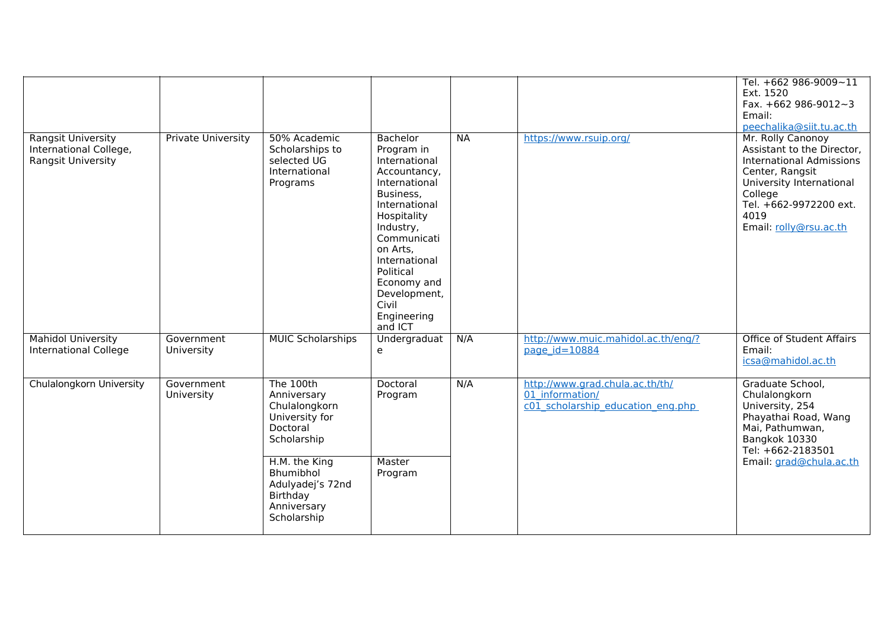|                                                                           |                           |                                                                                          |                                                                                                                                                                                                                                                               |       |                                                                                         | Tel. +662 986-9009~11<br>Ext. 1520<br>Fax. $+662986-9012-3$<br>Email:<br>peechalika@siit.tu.ac.th                                                                                                        |
|---------------------------------------------------------------------------|---------------------------|------------------------------------------------------------------------------------------|---------------------------------------------------------------------------------------------------------------------------------------------------------------------------------------------------------------------------------------------------------------|-------|-----------------------------------------------------------------------------------------|----------------------------------------------------------------------------------------------------------------------------------------------------------------------------------------------------------|
| <b>Rangsit University</b><br>International College,<br>Rangsit University | <b>Private University</b> | 50% Academic<br>Scholarships to<br>selected UG<br>International<br>Programs              | Bachelor<br>Program in<br>International<br>Accountancy,<br>International<br>Business,<br>International<br>Hospitality<br>Industry,<br>Communicati<br>on Arts,<br>International<br>Political<br>Economy and<br>Development,<br>Civil<br>Engineering<br>and ICT | $N_A$ | https://www.rsuip.org/                                                                  | Mr. Rolly Canonoy<br>Assistant to the Director,<br><b>International Admissions</b><br>Center, Rangsit<br>University International<br>College<br>Tel. +662-9972200 ext.<br>4019<br>Email: rolly@rsu.ac.th |
| <b>Mahidol University</b><br>International College                        | Government<br>University  | <b>MUIC Scholarships</b>                                                                 | Undergraduat<br>e                                                                                                                                                                                                                                             | N/A   | http://www.muic.mahidol.ac.th/eng/?<br>page $id = 10884$                                | <b>Office of Student Affairs</b><br>Email:<br>icsa@mahidol.ac.th                                                                                                                                         |
| <b>Chulalongkorn University</b>                                           | Government<br>University  | The 100th<br>Anniversary<br>Chulalongkorn<br>University for<br>Doctoral<br>Scholarship   | Doctoral<br>Program                                                                                                                                                                                                                                           | N/A   | http://www.grad.chula.ac.th/th/<br>01 information/<br>c01 scholarship_education_eng.php | Graduate School,<br>Chulalongkorn<br>University, 254<br>Phayathai Road, Wang<br>Mai, Pathumwan,<br>Bangkok 10330<br>Tel: +662-2183501                                                                    |
|                                                                           |                           | H.M. the King<br>Bhumibhol<br>Adulyadej's 72nd<br>Birthday<br>Anniversary<br>Scholarship | Master<br>Program                                                                                                                                                                                                                                             |       |                                                                                         | Email: grad@chula.ac.th                                                                                                                                                                                  |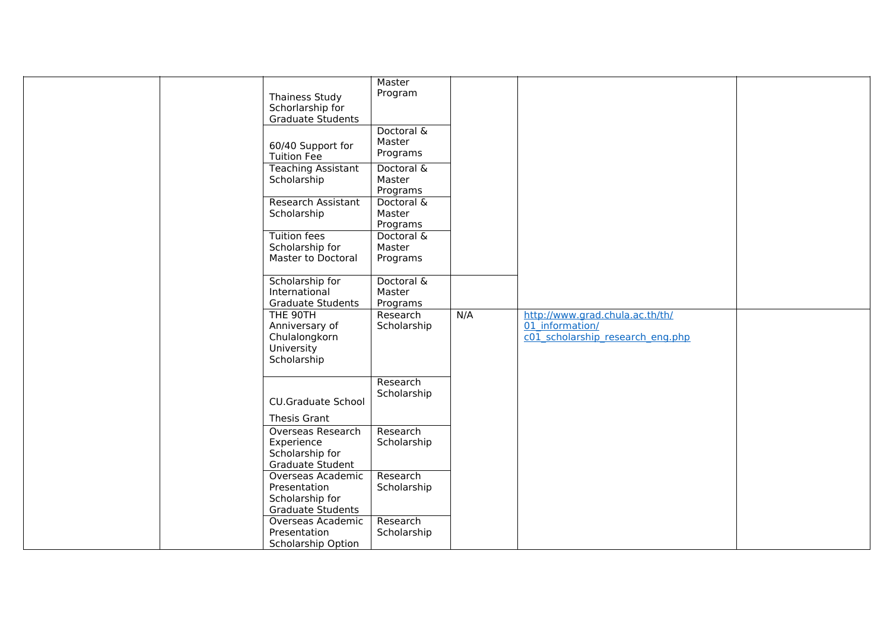| <b>Thainess Study</b><br>Schorlarship for<br><b>Graduate Students</b><br>60/40 Support for<br><b>Tuition Fee</b><br><b>Teaching Assistant</b><br>Scholarship<br>Research Assistant<br>Scholarship<br><b>Tuition fees</b><br>Scholarship for<br>Master to Doctoral<br>Scholarship for<br>International<br>Graduate Students | Master<br>Program<br>Doctoral &<br>Master<br>Programs<br>Doctoral &<br>Master<br>Programs<br>Doctoral &<br>Master<br>Programs<br>Doctoral &<br>Master<br>Programs<br>Doctoral &<br>Master<br>Programs |     |                                                                                                     |  |
|----------------------------------------------------------------------------------------------------------------------------------------------------------------------------------------------------------------------------------------------------------------------------------------------------------------------------|-------------------------------------------------------------------------------------------------------------------------------------------------------------------------------------------------------|-----|-----------------------------------------------------------------------------------------------------|--|
| THE 90TH<br>Anniversary of<br>Chulalongkorn<br>University<br>Scholarship                                                                                                                                                                                                                                                   | Research<br>Scholarship                                                                                                                                                                               | N/A | http://www.grad.chula.ac.th/th/<br>01 information/<br>$c0\overline{1}$ scholarship research eng.php |  |
| <b>CU.Graduate School</b><br>Thesis Grant                                                                                                                                                                                                                                                                                  | Research<br>Scholarship                                                                                                                                                                               |     |                                                                                                     |  |
| <b>Overseas Research</b><br>Experience<br>Scholarship for<br><b>Graduate Student</b>                                                                                                                                                                                                                                       | Research<br>Scholarship                                                                                                                                                                               |     |                                                                                                     |  |
| Overseas Academic<br>Presentation<br>Scholarship for<br><b>Graduate Students</b><br>Overseas Academic                                                                                                                                                                                                                      | Research<br>Scholarship<br>Research                                                                                                                                                                   |     |                                                                                                     |  |
| Presentation<br>Scholarship Option                                                                                                                                                                                                                                                                                         | Scholarship                                                                                                                                                                                           |     |                                                                                                     |  |